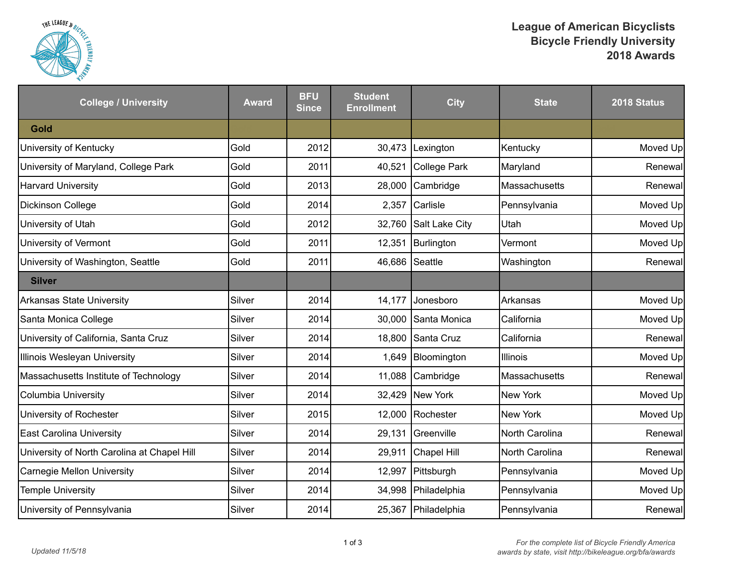

| <b>College / University</b>                 | <b>Award</b> | <b>BFU</b><br><b>Since</b> | <b>Student</b><br><b>Enrollment</b> | <b>City</b>         | <b>State</b>    | 2018 Status |
|---------------------------------------------|--------------|----------------------------|-------------------------------------|---------------------|-----------------|-------------|
| Gold                                        |              |                            |                                     |                     |                 |             |
| University of Kentucky                      | Gold         | 2012                       | 30,473                              | Lexington           | Kentucky        | Moved Up    |
| University of Maryland, College Park        | Gold         | 2011                       | 40,521                              | College Park        | Maryland        | Renewal     |
| <b>Harvard University</b>                   | Gold         | 2013                       | 28,000                              | Cambridge           | Massachusetts   | Renewal     |
| Dickinson College                           | Gold         | 2014                       | 2,357                               | Carlisle            | Pennsylvania    | Moved Up    |
| University of Utah                          | Gold         | 2012                       | 32,760                              | Salt Lake City      | Utah            | Moved Up    |
| University of Vermont                       | Gold         | 2011                       | 12,351                              | Burlington          | Vermont         | Moved Up    |
| University of Washington, Seattle           | Gold         | 2011                       | 46,686                              | Seattle             | Washington      | Renewal     |
| <b>Silver</b>                               |              |                            |                                     |                     |                 |             |
| <b>Arkansas State University</b>            | Silver       | 2014                       | 14,177                              | Jonesboro           | Arkansas        | Moved Up    |
| Santa Monica College                        | Silver       | 2014                       | 30,000                              | Santa Monica        | California      | Moved Up    |
| University of California, Santa Cruz        | Silver       | 2014                       |                                     | 18,800 Santa Cruz   | California      | Renewal     |
| Illinois Wesleyan University                | Silver       | 2014                       | 1,649                               | Bloomington         | Illinois        | Moved Up    |
| Massachusetts Institute of Technology       | Silver       | 2014                       | 11,088                              | Cambridge           | Massachusetts   | Renewal     |
| <b>Columbia University</b>                  | Silver       | 2014                       |                                     | 32,429 New York     | <b>New York</b> | Moved Up    |
| University of Rochester                     | Silver       | 2015                       | 12,000                              | Rochester           | <b>New York</b> | Moved Up    |
| <b>East Carolina University</b>             | Silver       | 2014                       | 29,131                              | Greenville          | North Carolina  | Renewal     |
| University of North Carolina at Chapel Hill | Silver       | 2014                       | 29,911                              | Chapel Hill         | North Carolina  | Renewal     |
| <b>Carnegie Mellon University</b>           | Silver       | 2014                       | 12,997                              | Pittsburgh          | Pennsylvania    | Moved Up    |
| <b>Temple University</b>                    | Silver       | 2014                       | 34,998                              | Philadelphia        | Pennsylvania    | Moved Up    |
| University of Pennsylvania                  | Silver       | 2014                       |                                     | 25,367 Philadelphia | Pennsylvania    | Renewall    |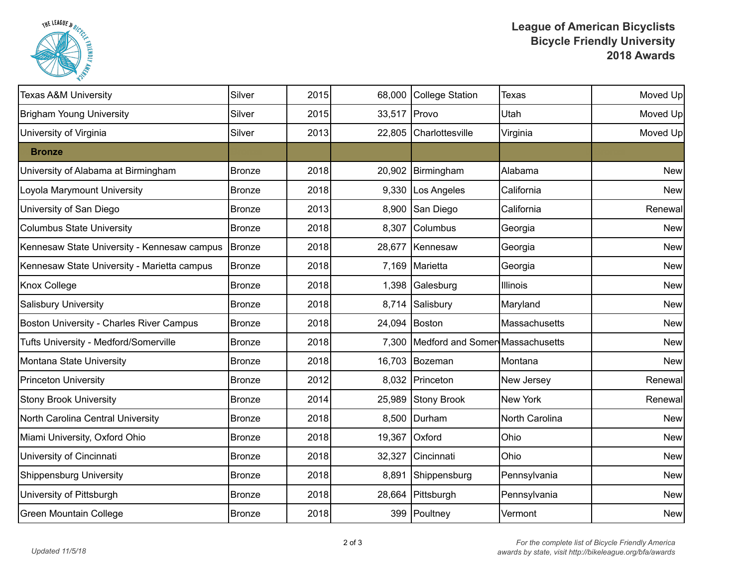

| <b>Texas A&amp;M University</b>                 | Silver        | 2015 | 68,000        | College Station                       | Texas           | Moved Up   |
|-------------------------------------------------|---------------|------|---------------|---------------------------------------|-----------------|------------|
| <b>Brigham Young University</b>                 | Silver        | 2015 | 33,517        | Provo                                 | Utah            | Moved Up   |
| University of Virginia                          | Silver        | 2013 |               | 22,805 Charlottesville                | Virginia        | Moved Up   |
| <b>Bronze</b>                                   |               |      |               |                                       |                 |            |
| University of Alabama at Birmingham             | <b>Bronze</b> | 2018 | 20,902        | Birmingham                            | Alabama         | <b>New</b> |
| Loyola Marymount University                     | Bronze        | 2018 | 9,330         | Los Angeles                           | California      | <b>New</b> |
| University of San Diego                         | <b>Bronze</b> | 2013 | 8,900         | San Diego                             | California      | Renewal    |
| <b>Columbus State University</b>                | Bronze        | 2018 | 8,307         | Columbus                              | Georgia         | <b>New</b> |
| Kennesaw State University - Kennesaw campus     | Bronze        | 2018 | 28,677        | Kennesaw                              | Georgia         | <b>New</b> |
| Kennesaw State University - Marietta campus     | Bronze        | 2018 |               | 7,169 Marietta                        | Georgia         | <b>New</b> |
| Knox College                                    | <b>Bronze</b> | 2018 | 1,398         | Galesburg                             | <b>Illinois</b> | <b>New</b> |
| Salisbury University                            | Bronze        | 2018 | 8,714         | Salisbury                             | Maryland        | <b>New</b> |
| <b>Boston University - Charles River Campus</b> | Bronze        | 2018 | 24,094 Boston |                                       | Massachusetts   | <b>New</b> |
| Tufts University - Medford/Somerville           | Bronze        | 2018 |               | 7,300 Medford and Somer Massachusetts |                 | <b>New</b> |
| Montana State University                        | <b>Bronze</b> | 2018 |               | 16,703 Bozeman                        | Montana         | <b>New</b> |
| <b>Princeton University</b>                     | <b>Bronze</b> | 2012 |               | 8,032 Princeton                       | New Jersey      | Renewal    |
| <b>Stony Brook University</b>                   | Bronze        | 2014 | 25,989        | Stony Brook                           | <b>New York</b> | Renewal    |
| North Carolina Central University               | Bronze        | 2018 |               | 8,500   Durham                        | North Carolina  | New        |
| Miami University, Oxford Ohio                   | Bronze        | 2018 | 19,367        | Oxford                                | Ohio            | <b>New</b> |
| University of Cincinnati                        | <b>Bronze</b> | 2018 | 32,327        | Cincinnati                            | Ohio            | <b>New</b> |
| <b>Shippensburg University</b>                  | <b>Bronze</b> | 2018 | 8,891         | Shippensburg                          | Pennsylvania    | <b>New</b> |
| University of Pittsburgh                        | Bronze        | 2018 | 28,664        | Pittsburgh                            | Pennsylvania    | <b>New</b> |
| <b>Green Mountain College</b>                   | Bronze        | 2018 |               | 399 Poultney                          | Vermont         | New        |